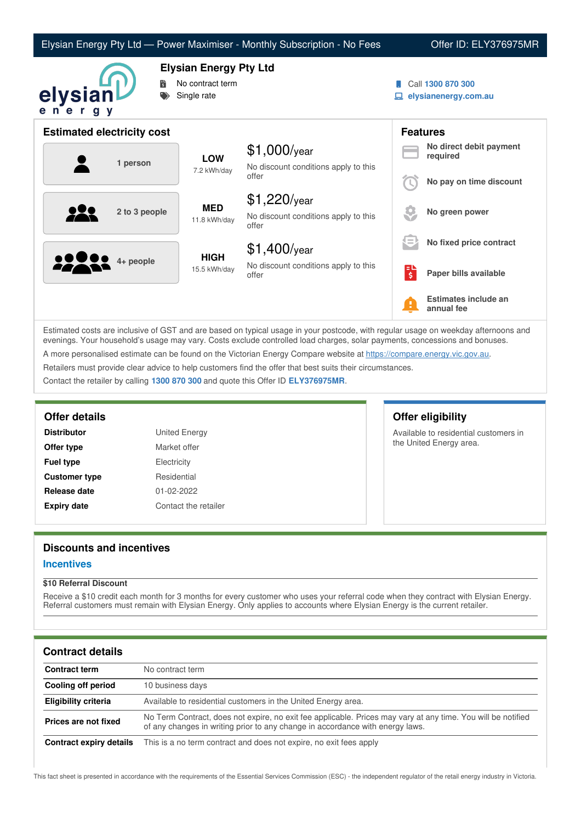| Elysian Energy Pty Ltd — Power Maximiser - Monthly Subscription - No Fees |  |  |  |
|---------------------------------------------------------------------------|--|--|--|
|---------------------------------------------------------------------------|--|--|--|

### Offer ID: ELY376975MR



**Elysian Energy Pty Ltd**

- **No contract term**
- Single rate
- Call **1300 870 300**
- **elysianenergy.com.au**

|          |               | <b>Estimated electricity cost</b> |                                               |                         |                                     | <b>Features</b>                    |
|----------|---------------|-----------------------------------|-----------------------------------------------|-------------------------|-------------------------------------|------------------------------------|
| 1 person |               | <b>LOW</b>                        | $$1,000$ /year                                |                         | No direct debit payment<br>required |                                    |
|          |               | 7.2 kWh/day                       | No discount conditions apply to this<br>offer |                         | No pay on time discount             |                                    |
|          |               |                                   | <b>MED</b>                                    | $$1,220$ /year          |                                     |                                    |
|          | 2 to 3 people | 11.8 kWh/day                      | No discount conditions apply to this<br>offer |                         | No green power                      |                                    |
|          |               |                                   | <b>HIGH</b>                                   | $$1,400$ /year          | $=$                                 | No fixed price contract            |
| 22222    | 4+ people     | 15.5 kWh/day                      | No discount conditions apply to this<br>offer | н<br>$\ddot{\varsigma}$ | Paper bills available               |                                    |
|          |               |                                   |                                               |                         | Ŧ                                   | Estimates include an<br>annual fee |

Estimated costs are inclusive of GST and are based on typical usage in your postcode, with regular usage on weekday afternoons and evenings. Your household's usage may vary. Costs exclude controlled load charges, solar payments, concessions and bonuses. A more personalised estimate can be found on the Victorian Energy Compare website at <https://compare.energy.vic.gov.au>. Retailers must provide clear advice to help customers find the offer that best suits their circumstances.

Contact the retailer by calling **1300 870 300** and quote this Offer ID **ELY376975MR**.

**Distributor** United Energy **Offer type** Market offer **Fuel type** Electricity **Customer type** Residential **Release date** 01-02-2022 **Expiry date** Contact the retailer

## **Offer details Offer eligibility**

Available to residential customers in the United Energy area.

# **Discounts and incentives**

### **Incentives**

### **\$10 Referral Discount**

Receive a \$10 credit each month for 3 months for every customer who uses your referral code when they contract with Elysian Energy. Referral customers must remain with Elysian Energy. Only applies to accounts where Elysian Energy is the current retailer.

## **Contract details**

| <b>Contract term</b>    | No contract term                                                                                                                                                                              |
|-------------------------|-----------------------------------------------------------------------------------------------------------------------------------------------------------------------------------------------|
| Cooling off period      | 10 business days                                                                                                                                                                              |
| Eligibility criteria    | Available to residential customers in the United Energy area.                                                                                                                                 |
| Prices are not fixed    | No Term Contract, does not expire, no exit fee applicable. Prices may vary at any time. You will be notified<br>of any changes in writing prior to any change in accordance with energy laws. |
| Contract expiry details | This is a no term contract and does not expire, no exit fees apply                                                                                                                            |